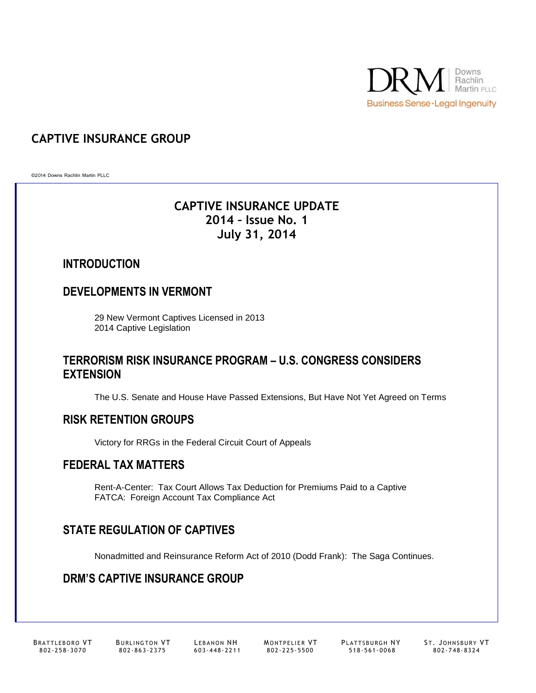

# **CAPTIVE INSURANCE GROUP**

©2014 Downs Rachlin Martin PLLC

# **CAPTIVE INSURANCE UPDATE 2014 – Issue No. 1 July 31, 2014**

### **INTRODUCTION**

## **DEVELOPMENTS IN VERMONT**

29 New Vermont Captives Licensed in 2013 2014 Captive Legislation

### **TERRORISM RISK INSURANCE PROGRAM – U.S. CONGRESS CONSIDERS EXTENSION**

The U.S. Senate and House Have Passed Extensions, But Have Not Yet Agreed on Terms

### **RISK RETENTION GROUPS**

Victory for RRGs in the Federal Circuit Court of Appeals

## **FEDERAL TAX MATTERS**

Rent-A-Center: Tax Court Allows Tax Deduction for Premiums Paid to a Captive FATCA: Foreign Account Tax Compliance Act

# **STATE REGULATION OF CAPTIVES**

Nonadmitted and Reinsurance Reform Act of 2010 (Dodd Frank): The Saga Continues.

# **DRM'S CAPTIVE INSURANCE GROUP**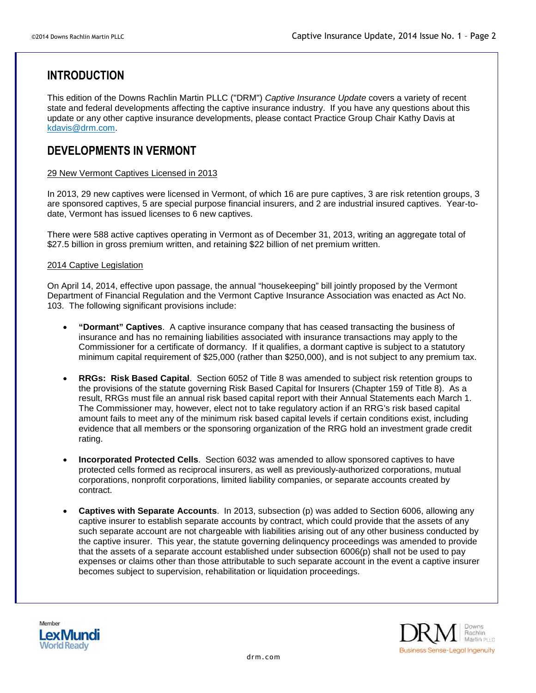# **INTRODUCTION**

This edition of the Downs Rachlin Martin PLLC ("DRM") *Captive Insurance Update* covers a variety of recent state and federal developments affecting the captive insurance industry. If you have any questions about this update or any other captive insurance developments, please contact Practice Group Chair Kathy Davis at [kdavis@drm.com](mailto:kdavis@drm.com).

## **DEVELOPMENTS IN VERMONT**

#### 29 New Vermont Captives Licensed in 2013

In 2013, 29 new captives were licensed in Vermont, of which 16 are pure captives, 3 are risk retention groups, 3 are sponsored captives, 5 are special purpose financial insurers, and 2 are industrial insured captives. Year-todate, Vermont has issued licenses to 6 new captives.

There were 588 active captives operating in Vermont as of December 31, 2013, writing an aggregate total of \$27.5 billion in gross premium written, and retaining \$22 billion of net premium written.

#### 2014 Captive Legislation

On April 14, 2014, effective upon passage, the annual "housekeeping" bill jointly proposed by the Vermont Department of Financial Regulation and the Vermont Captive Insurance Association was enacted as Act No. 103. The following significant provisions include:

- **"Dormant" Captives**. A captive insurance company that has ceased transacting the business of insurance and has no remaining liabilities associated with insurance transactions may apply to the Commissioner for a certificate of dormancy. If it qualifies, a dormant captive is subject to a statutory minimum capital requirement of \$25,000 (rather than \$250,000), and is not subject to any premium tax.
- **RRGs: Risk Based Capital**. Section 6052 of Title 8 was amended to subject risk retention groups to the provisions of the statute governing Risk Based Capital for Insurers (Chapter 159 of Title 8). As a result, RRGs must file an annual risk based capital report with their Annual Statements each March 1. The Commissioner may, however, elect not to take regulatory action if an RRG's risk based capital amount fails to meet any of the minimum risk based capital levels if certain conditions exist, including evidence that all members or the sponsoring organization of the RRG hold an investment grade credit rating.
- **Incorporated Protected Cells**. Section 6032 was amended to allow sponsored captives to have protected cells formed as reciprocal insurers, as well as previously-authorized corporations, mutual corporations, nonprofit corporations, limited liability companies, or separate accounts created by contract.
- **Captives with Separate Accounts**. In 2013, subsection (p) was added to Section 6006, allowing any captive insurer to establish separate accounts by contract, which could provide that the assets of any such separate account are not chargeable with liabilities arising out of any other business conducted by the captive insurer. This year, the statute governing delinquency proceedings was amended to provide that the assets of a separate account established under subsection 6006(p) shall not be used to pay expenses or claims other than those attributable to such separate account in the event a captive insurer becomes subject to supervision, rehabilitation or liquidation proceedings.



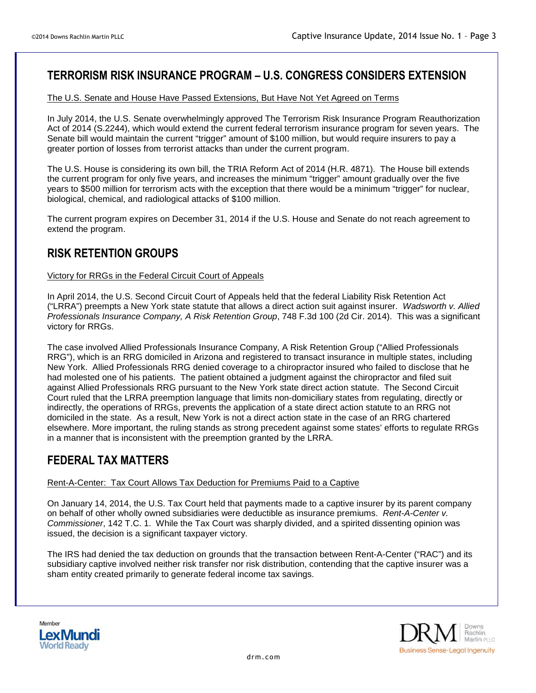# **TERRORISM RISK INSURANCE PROGRAM – U.S. CONGRESS CONSIDERS EXTENSION**

#### The U.S. Senate and House Have Passed Extensions, But Have Not Yet Agreed on Terms

In July 2014, the U.S. Senate overwhelmingly approved The Terrorism Risk Insurance Program Reauthorization Act of 2014 (S.2244), which would extend the current federal terrorism insurance program for seven years. The Senate bill would maintain the current "trigger" amount of \$100 million, but would require insurers to pay a greater portion of losses from terrorist attacks than under the current program.

The U.S. House is considering its own bill, the TRIA Reform Act of 2014 (H.R. 4871). The House bill extends the current program for only five years, and increases the minimum "trigger" amount gradually over the five years to \$500 million for terrorism acts with the exception that there would be a minimum "trigger" for nuclear, biological, chemical, and radiological attacks of \$100 million.

The current program expires on December 31, 2014 if the U.S. House and Senate do not reach agreement to extend the program.

### **RISK RETENTION GROUPS**

#### Victory for RRGs in the Federal Circuit Court of Appeals

In April 2014, the U.S. Second Circuit Court of Appeals held that the federal Liability Risk Retention Act ("LRRA") preempts a New York state statute that allows a direct action suit against insurer. *Wadsworth v. Allied Professionals Insurance Company, A Risk Retention Group*, 748 F.3d 100 (2d Cir. 2014). This was a significant victory for RRGs.

The case involved Allied Professionals Insurance Company, A Risk Retention Group ("Allied Professionals RRG"), which is an RRG domiciled in Arizona and registered to transact insurance in multiple states, including New York. Allied Professionals RRG denied coverage to a chiropractor insured who failed to disclose that he had molested one of his patients. The patient obtained a judgment against the chiropractor and filed suit against Allied Professionals RRG pursuant to the New York state direct action statute. The Second Circuit Court ruled that the LRRA preemption language that limits non-domiciliary states from regulating, directly or indirectly, the operations of RRGs, prevents the application of a state direct action statute to an RRG not domiciled in the state. As a result, New York is not a direct action state in the case of an RRG chartered elsewhere. More important, the ruling stands as strong precedent against some states' efforts to regulate RRGs in a manner that is inconsistent with the preemption granted by the LRRA.

## **FEDERAL TAX MATTERS**

Rent-A-Center: Tax Court Allows Tax Deduction for Premiums Paid to a Captive

On January 14, 2014, the U.S. Tax Court held that payments made to a captive insurer by its parent company on behalf of other wholly owned subsidiaries were deductible as insurance premiums. *Rent-A-Center v. Commissioner*, 142 T.C. 1. While the Tax Court was sharply divided, and a spirited dissenting opinion was issued, the decision is a significant taxpayer victory.

The IRS had denied the tax deduction on grounds that the transaction between Rent-A-Center ("RAC") and its subsidiary captive involved neither risk transfer nor risk distribution, contending that the captive insurer was a sham entity created primarily to generate federal income tax savings.



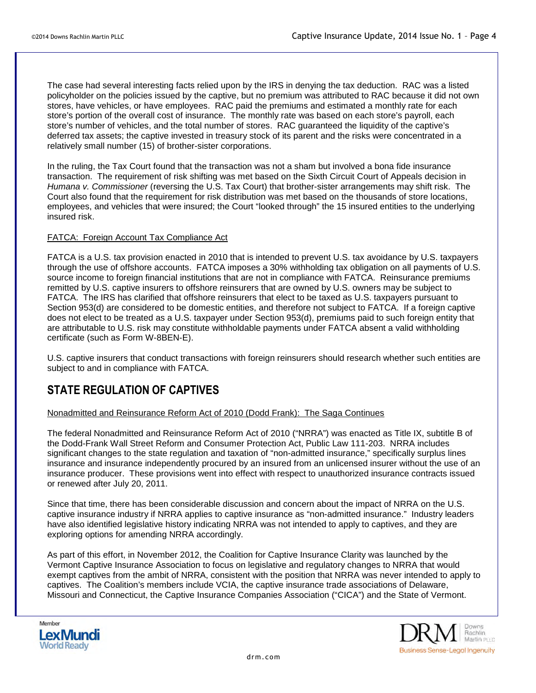The case had several interesting facts relied upon by the IRS in denying the tax deduction. RAC was a listed policyholder on the policies issued by the captive, but no premium was attributed to RAC because it did not own stores, have vehicles, or have employees. RAC paid the premiums and estimated a monthly rate for each store's portion of the overall cost of insurance. The monthly rate was based on each store's payroll, each store's number of vehicles, and the total number of stores. RAC guaranteed the liquidity of the captive's deferred tax assets; the captive invested in treasury stock of its parent and the risks were concentrated in a relatively small number (15) of brother-sister corporations.

In the ruling, the Tax Court found that the transaction was not a sham but involved a bona fide insurance transaction. The requirement of risk shifting was met based on the Sixth Circuit Court of Appeals decision in *Humana v. Commissioner* (reversing the U.S. Tax Court) that brother-sister arrangements may shift risk. The Court also found that the requirement for risk distribution was met based on the thousands of store locations, employees, and vehicles that were insured; the Court "looked through" the 15 insured entities to the underlying insured risk.

#### FATCA: Foreign Account Tax Compliance Act

FATCA is a U.S. tax provision enacted in 2010 that is intended to prevent U.S. tax avoidance by U.S. taxpayers through the use of offshore accounts. FATCA imposes a 30% withholding tax obligation on all payments of U.S. source income to foreign financial institutions that are not in compliance with FATCA. Reinsurance premiums remitted by U.S. captive insurers to offshore reinsurers that are owned by U.S. owners may be subject to FATCA. The IRS has clarified that offshore reinsurers that elect to be taxed as U.S. taxpayers pursuant to Section 953(d) are considered to be domestic entities, and therefore not subject to FATCA. If a foreign captive does not elect to be treated as a U.S. taxpayer under Section 953(d), premiums paid to such foreign entity that are attributable to U.S. risk may constitute withholdable payments under FATCA absent a valid withholding certificate (such as Form W-8BEN-E).

U.S. captive insurers that conduct transactions with foreign reinsurers should research whether such entities are subject to and in compliance with FATCA.

### **STATE REGULATION OF CAPTIVES**

#### Nonadmitted and Reinsurance Reform Act of 2010 (Dodd Frank): The Saga Continues

The federal Nonadmitted and Reinsurance Reform Act of 2010 ("NRRA") was enacted as Title IX, subtitle B of the Dodd-Frank Wall Street Reform and Consumer Protection Act, Public Law 111-203. NRRA includes significant changes to the state regulation and taxation of "non-admitted insurance," specifically surplus lines insurance and insurance independently procured by an insured from an unlicensed insurer without the use of an insurance producer. These provisions went into effect with respect to unauthorized insurance contracts issued or renewed after July 20, 2011.

Since that time, there has been considerable discussion and concern about the impact of NRRA on the U.S. captive insurance industry if NRRA applies to captive insurance as "non-admitted insurance." Industry leaders have also identified legislative history indicating NRRA was not intended to apply to captives, and they are exploring options for amending NRRA accordingly.

As part of this effort, in November 2012, the Coalition for Captive Insurance Clarity was launched by the Vermont Captive Insurance Association to focus on legislative and regulatory changes to NRRA that would exempt captives from the ambit of NRRA, consistent with the position that NRRA was never intended to apply to captives. The Coalition's members include VCIA, the captive insurance trade associations of Delaware, Missouri and Connecticut, the Captive Insurance Companies Association ("CICA") and the State of Vermont.